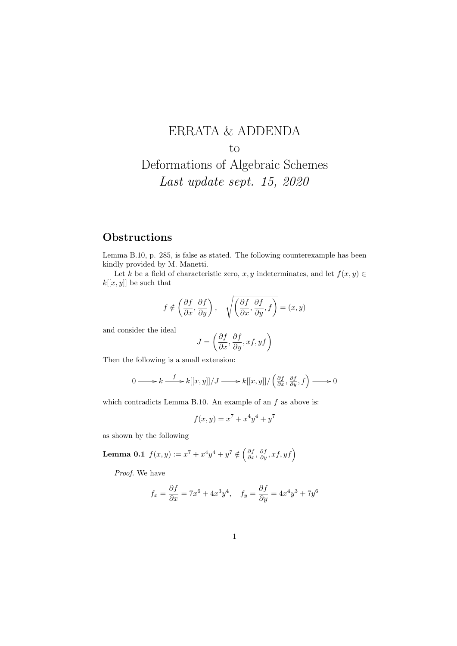## ERRATA & ADDENDA to Deformations of Algebraic Schemes Last update sept. 15, 2020

## **Obstructions**

Lemma B.10, p. 285, is false as stated. The following counterexample has been kindly provided by M. Manetti.

Let k be a field of characteristic zero, x, y indeterminates, and let  $f(x, y) \in$  $k[[x, y]]$  be such that

$$
f \notin \left(\frac{\partial f}{\partial x}, \frac{\partial f}{\partial y}\right), \quad \sqrt{\left(\frac{\partial f}{\partial x}, \frac{\partial f}{\partial y}, f\right)} = (x, y)
$$

and consider the ideal

$$
J=\left(\frac{\partial f}{\partial x},\frac{\partial f}{\partial y},xf,yf\right)
$$

Then the following is a small extension:

$$
0 \longrightarrow k \xrightarrow{f} k[[x,y]]/J \longrightarrow k[[x,y]]/ \left(\frac{\partial f}{\partial x}, \frac{\partial f}{\partial y}, f\right) \longrightarrow 0
$$

which contradicts Lemma B.10. An example of an  $f$  as above is:

$$
f(x,y) = x^7 + x^4y^4 + y^7
$$

as shown by the following

**Lemma 0.1** 
$$
f(x, y) := x^7 + x^4y^4 + y^7 \notin \left(\frac{\partial f}{\partial x}, \frac{\partial f}{\partial y}, x f, y f\right)
$$

Proof. We have

$$
f_x = \frac{\partial f}{\partial x} = 7x^6 + 4x^3y^4, \quad f_y = \frac{\partial f}{\partial y} = 4x^4y^3 + 7y^6
$$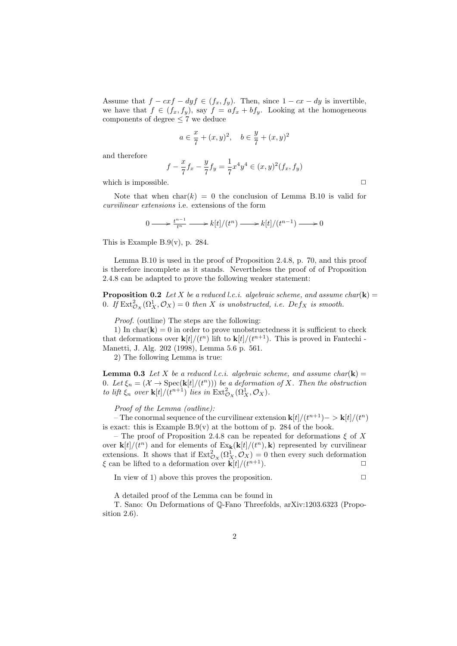Assume that  $f - cxf - dyf \in (f_x, f_y)$ . Then, since  $1 - cx - dy$  is invertible, we have that  $f \in (f_x, f_y)$ , say  $f = af_x + bf_y$ . Looking at the homogeneous components of degree  $\leq 7$  we deduce

$$
a \in \frac{x}{7} + (x, y)^2
$$
,  $b \in \frac{y}{7} + (x, y)^2$ 

and therefore

$$
f - \frac{x}{7}f_x - \frac{y}{7}f_y = \frac{1}{7}x^4y^4 \in (x, y)^2(f_x, f_y)
$$

which is impossible.  $\Box$ 

Note that when  $char(k) = 0$  the conclusion of Lemma B.10 is valid for curvilinear extensions i.e. extensions of the form

$$
0 \longrightarrow \frac{t^{n-1}}{t^n} \longrightarrow k[t]/(t^n) \longrightarrow k[t]/(t^{n-1}) \longrightarrow 0
$$

This is Example B.9(v), p. 284.

Lemma B.10 is used in the proof of Proposition 2.4.8, p. 70, and this proof is therefore incomplete as it stands. Nevertheless the proof of of Proposition 2.4.8 can be adapted to prove the following weaker statement:

**Proposition 0.2** Let X be a reduced l.c.i. algebraic scheme, and assume char(k) = 0. If  $\text{Ext}^2_{\mathcal{O}_X}(\Omega^1_X, \mathcal{O}_X) = 0$  then X is unobstructed, i.e.  $Def_X$  is smooth.

Proof. (outline) The steps are the following:

1) In char( $\mathbf{k}$ ) = 0 in order to prove unobstructedness it is sufficient to check that deformations over  $\mathbf{k}[t]/(t^n)$  lift to  $\mathbf{k}[t]/(t^{n+1})$ . This is proved in Fantechi-Manetti, J. Alg. 202 (1998), Lemma 5.6 p. 561.

2) The following Lemma is true:

**Lemma 0.3** Let X be a reduced *l.c.i.* algebraic scheme, and assume char(k) = 0. Let  $\xi_n = (\mathcal{X} \to \text{Spec}(\mathbf{k}[t]/(t^n)))$  be a deformation of X. Then the obstruction to lift  $\xi_n$  over  $\mathbf{k}[t]/(t^{n+1})$  lies in  $\text{Ext}^2_{\mathcal{O}_X}(\Omega_X^1, \mathcal{O}_X)$ .

Proof of the Lemma (outline):

– The conormal sequence of the curvilinear extension  $\mathbf{k}[t]/(t^{n+1})$  – >  $\mathbf{k}[t]/(t^n)$ is exact: this is Example  $B.9(v)$  at the bottom of p. 284 of the book.

– The proof of Proposition 2.4.8 can be repeated for deformations  $\xi$  of X over  $\mathbf{k}[t]/(t^n)$  and for elements of  $\text{Ex}_{\mathbf{k}}(\mathbf{k}[t]/(t^n), \mathbf{k})$  represented by curvilinear extensions. It shows that if  $\text{Ext}^2_{\mathcal{O}_X}(\Omega^1_X, \mathcal{O}_X) = 0$  then every such deformation  $\xi$  can be lifted to a deformation over  $\mathbf{k}[t]/(t^{n+1})$ .  $n+1$ ).

In view of 1) above this proves the proposition.  $\Box$ 

A detailed proof of the Lemma can be found in

T. Sano: On Deformations of Q-Fano Threefolds, arXiv:1203.6323 (Proposition 2.6).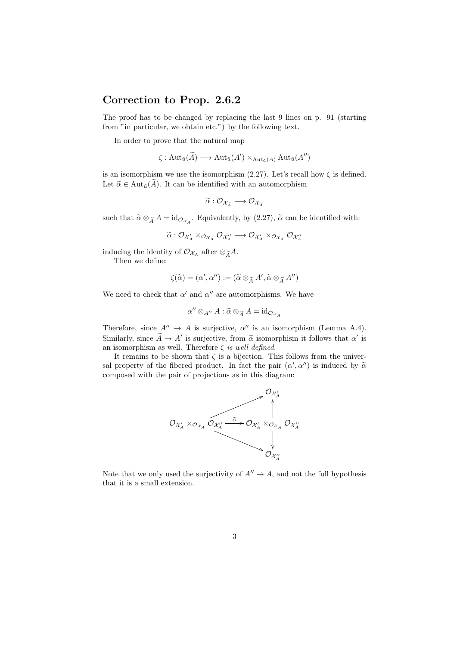## Correction to Prop. 2.6.2

The proof has to be changed by replacing the last 9 lines on p. 91 (starting from "in particular, we obtain etc.") by the following text.

In order to prove that the natural map

$$
\zeta: \operatorname{Aut}_{\hat{u}}(\widetilde{A}) \longrightarrow \operatorname{Aut}_{\hat{u}}(A') \times_{\operatorname{Aut}_{\hat{u}}(A)} \operatorname{Aut}_{\hat{u}}(A'')
$$

is an isomorphism we use the isomorphism  $(2.27)$ . Let's recall how  $\zeta$  is defined. Let  $\tilde{\alpha} \in \text{Aut}_{\hat{u}}(\tilde{A})$ . It can be identified with an automorphism

$$
\widetilde{\alpha}: \mathcal{O}_{\mathcal{X}_{\widetilde{A}}} \longrightarrow \mathcal{O}_{\mathcal{X}_{\widetilde{A}}}
$$

such that  $\tilde{\alpha} \otimes_{\tilde{A}} A = id_{\mathcal{O}_{\mathcal{X}_A}}$ . Equivalently, by (2.27),  $\tilde{\alpha}$  can be identified with:

$$
\widetilde{\alpha}: \mathcal{O}_{\mathcal{X}_A'} \times_{\mathcal{O}_{\mathcal{X}_A}} \mathcal{O}_{\mathcal{X}_A''} \longrightarrow \mathcal{O}_{\mathcal{X}_A'} \times_{\mathcal{O}_{\mathcal{X}_A}} \mathcal{O}_{\mathcal{X}_A''}
$$

inducing the identity of  $\mathcal{O}_{\mathcal{X}_A}$  after  $\otimes_{\widetilde{A}} A$ .

Then we define:

$$
\zeta(\widetilde{\alpha}) = (\alpha', \alpha'') := (\widetilde{\alpha} \otimes_{\widetilde{A}} A', \widetilde{\alpha} \otimes_{\widetilde{A}} A'')
$$

We need to check that  $\alpha'$  and  $\alpha''$  are automorphisms. We have

$$
\alpha'' \otimes_{A''} A : \widetilde{\alpha} \otimes_{\widetilde{A}} A = \mathrm{id}_{\mathcal{O}_{\mathcal{X}_A}}
$$

Therefore, since  $A'' \to A$  is surjective,  $\alpha''$  is an isomorphism (Lemma A.4). Similarly, since  $\tilde{A} \to A'$  is surjective, from  $\tilde{\alpha}$  isomorphism it follows that  $\alpha'$  is<br>an isomorphism as well. Therefore  $\zeta$  is well defined an isomorphism as well. Therefore  $\zeta$  is well defined.

It remains to be shown that  $\zeta$  is a bijection. This follows from the universal property of the fibered product. In fact the pair  $(\alpha', \alpha'')$  is induced by  $\tilde{\alpha}$ <br>composed with the pair of projections as in this diagram: composed with the pair of projections as in this diagram:



Note that we only used the surjectivity of  $A'' \to A$ , and not the full hypothesis that it is a small extension.